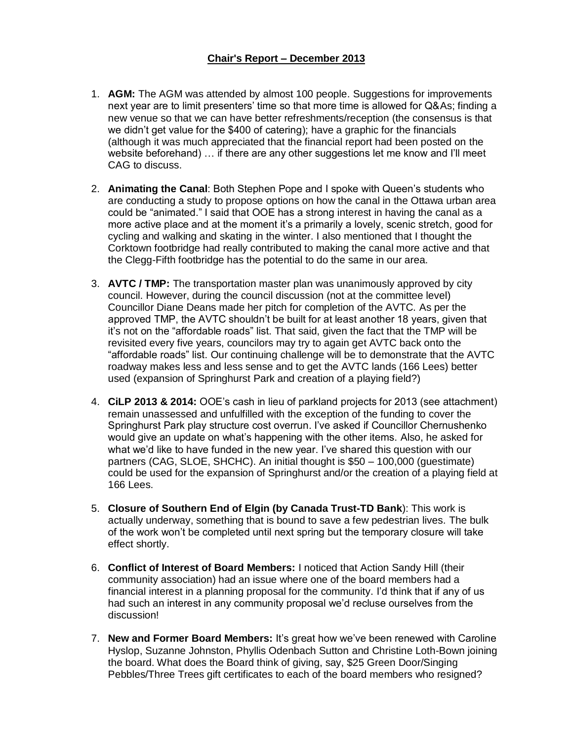#### **Chair's Report – December 2013**

- 1. **AGM:** The AGM was attended by almost 100 people. Suggestions for improvements next year are to limit presenters' time so that more time is allowed for Q&As; finding a new venue so that we can have better refreshments/reception (the consensus is that we didn't get value for the \$400 of catering); have a graphic for the financials (although it was much appreciated that the financial report had been posted on the website beforehand) … if there are any other suggestions let me know and I'll meet CAG to discuss.
- 2. **Animating the Canal**: Both Stephen Pope and I spoke with Queen's students who are conducting a study to propose options on how the canal in the Ottawa urban area could be "animated." I said that OOE has a strong interest in having the canal as a more active place and at the moment it's a primarily a lovely, scenic stretch, good for cycling and walking and skating in the winter. I also mentioned that I thought the Corktown footbridge had really contributed to making the canal more active and that the Clegg-Fifth footbridge has the potential to do the same in our area.
- 3. **AVTC / TMP:** The transportation master plan was unanimously approved by city council. However, during the council discussion (not at the committee level) Councillor Diane Deans made her pitch for completion of the AVTC. As per the approved TMP, the AVTC shouldn't be built for at least another 18 years, given that it's not on the "affordable roads" list. That said, given the fact that the TMP will be revisited every five years, councilors may try to again get AVTC back onto the "affordable roads" list. Our continuing challenge will be to demonstrate that the AVTC roadway makes less and less sense and to get the AVTC lands (166 Lees) better used (expansion of Springhurst Park and creation of a playing field?)
- 4. **CiLP 2013 & 2014:** OOE's cash in lieu of parkland projects for 2013 (see attachment) remain unassessed and unfulfilled with the exception of the funding to cover the Springhurst Park play structure cost overrun. I've asked if Councillor Chernushenko would give an update on what's happening with the other items. Also, he asked for what we'd like to have funded in the new year. I've shared this question with our partners (CAG, SLOE, SHCHC). An initial thought is \$50 – 100,000 (guestimate) could be used for the expansion of Springhurst and/or the creation of a playing field at 166 Lees.
- 5. **Closure of Southern End of Elgin (by Canada Trust-TD Bank**): This work is actually underway, something that is bound to save a few pedestrian lives. The bulk of the work won't be completed until next spring but the temporary closure will take effect shortly.
- 6. **Conflict of Interest of Board Members:** I noticed that Action Sandy Hill (their community association) had an issue where one of the board members had a financial interest in a planning proposal for the community. I'd think that if any of us had such an interest in any community proposal we'd recluse ourselves from the discussion!
- 7. **New and Former Board Members:** It's great how we've been renewed with Caroline Hyslop, Suzanne Johnston, Phyllis Odenbach Sutton and Christine Loth-Bown joining the board. What does the Board think of giving, say, \$25 Green Door/Singing Pebbles/Three Trees gift certificates to each of the board members who resigned?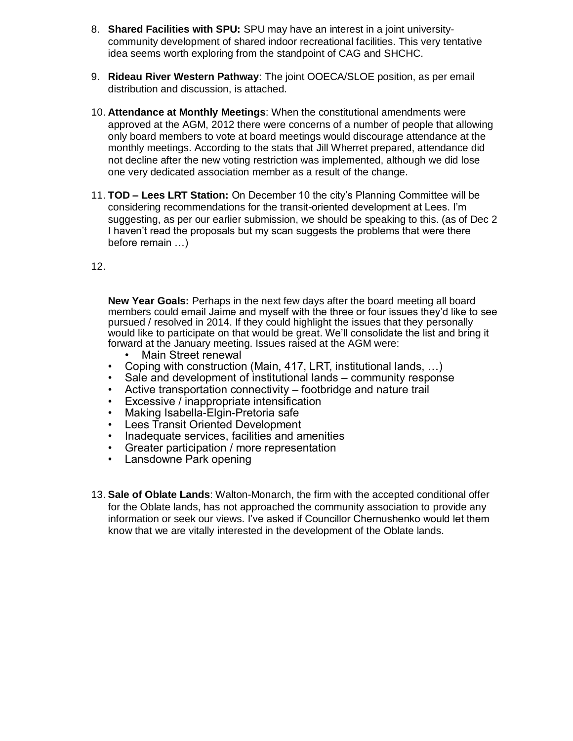- 8. **Shared Facilities with SPU:** SPU may have an interest in a joint universitycommunity development of shared indoor recreational facilities. This very tentative idea seems worth exploring from the standpoint of CAG and SHCHC.
- 9. **Rideau River Western Pathway**: The joint OOECA/SLOE position, as per email distribution and discussion, is attached.
- 10. **Attendance at Monthly Meetings**: When the constitutional amendments were approved at the AGM, 2012 there were concerns of a number of people that allowing only board members to vote at board meetings would discourage attendance at the monthly meetings. According to the stats that Jill Wherret prepared, attendance did not decline after the new voting restriction was implemented, although we did lose one very dedicated association member as a result of the change.
- 11. **TOD – Lees LRT Station:** On December 10 the city's Planning Committee will be considering recommendations for the transit-oriented development at Lees. I'm suggesting, as per our earlier submission, we should be speaking to this. (as of Dec 2 I haven't read the proposals but my scan suggests the problems that were there before remain …)
- 12.

**New Year Goals:** Perhaps in the next few days after the board meeting all board members could email Jaime and myself with the three or four issues they'd like to see pursued / resolved in 2014. If they could highlight the issues that they personally would like to participate on that would be great. We'll consolidate the list and bring it forward at the January meeting. Issues raised at the AGM were:

- Main Street renewal
- Coping with construction (Main, 417, LRT, institutional lands, …)
- Sale and development of institutional lands community response
- Active transportation connectivity footbridge and nature trail
- Excessive / inappropriate intensification
- Making Isabella-Elgin-Pretoria safe
- Lees Transit Oriented Development
- Inadequate services, facilities and amenities
- Greater participation / more representation
- Lansdowne Park opening
- 13. **Sale of Oblate Lands**: Walton-Monarch, the firm with the accepted conditional offer for the Oblate lands, has not approached the community association to provide any information or seek our views. I've asked if Councillor Chernushenko would let them know that we are vitally interested in the development of the Oblate lands.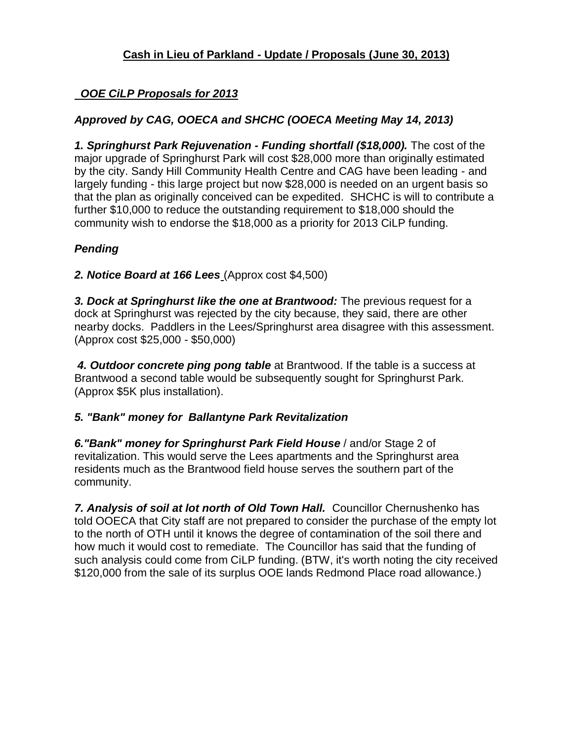### *OOE CiLP Proposals for 2013*

## *Approved by CAG, OOECA and SHCHC (OOECA Meeting May 14, 2013)*

*1. Springhurst Park Rejuvenation - Funding shortfall (\$18,000).* The cost of the major upgrade of Springhurst Park will cost \$28,000 more than originally estimated by the city. Sandy Hill Community Health Centre and CAG have been leading - and largely funding - this large project but now \$28,000 is needed on an urgent basis so that the plan as originally conceived can be expedited. SHCHC is will to contribute a further \$10,000 to reduce the outstanding requirement to \$18,000 should the community wish to endorse the \$18,000 as a priority for 2013 CiLP funding.

# *Pending*

*2. Notice Board at 166 Lees* (Approx cost \$4,500)

*3. Dock at Springhurst like the one at Brantwood:* The previous request for a dock at Springhurst was rejected by the city because, they said, there are other nearby docks. Paddlers in the Lees/Springhurst area disagree with this assessment. (Approx cost \$25,000 - \$50,000)

*4. Outdoor concrete ping pong table* at Brantwood. If the table is a success at Brantwood a second table would be subsequently sought for Springhurst Park. (Approx \$5K plus installation).

### *5. "Bank" money for Ballantyne Park Revitalization*

*6."Bank" money for Springhurst Park Field House* / and/or Stage 2 of revitalization. This would serve the Lees apartments and the Springhurst area residents much as the Brantwood field house serves the southern part of the community.

*7. Analysis of soil at lot north of Old Town Hall.* Councillor Chernushenko has told OOECA that City staff are not prepared to consider the purchase of the empty lot to the north of OTH until it knows the degree of contamination of the soil there and how much it would cost to remediate. The Councillor has said that the funding of such analysis could come from CiLP funding. (BTW, it's worth noting the city received \$120,000 from the sale of its surplus OOE lands Redmond Place road allowance.)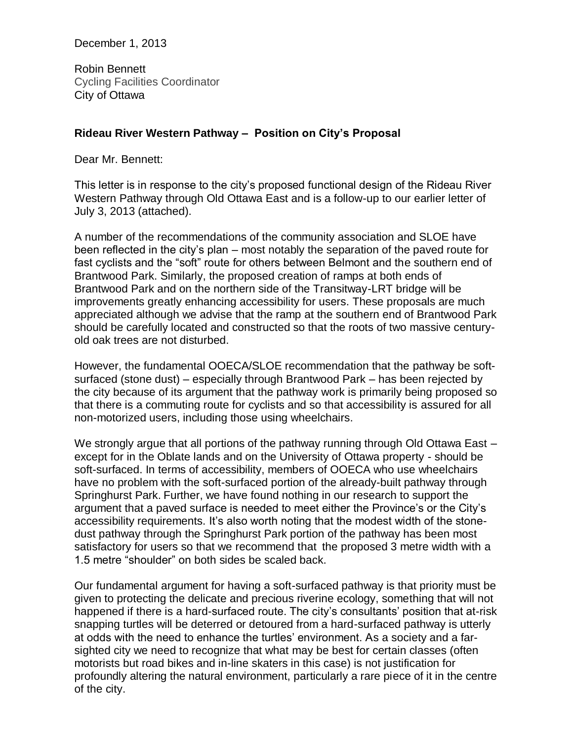December 1, 2013

Robin Bennett Cycling Facilities Coordinator City of Ottawa

#### **Rideau River Western Pathway – Position on City's Proposal**

Dear Mr. Bennett:

This letter is in response to the city's proposed functional design of the Rideau River Western Pathway through Old Ottawa East and is a follow-up to our earlier letter of July 3, 2013 (attached).

A number of the recommendations of the community association and SLOE have been reflected in the city's plan – most notably the separation of the paved route for fast cyclists and the "soft" route for others between Belmont and the southern end of Brantwood Park. Similarly, the proposed creation of ramps at both ends of Brantwood Park and on the northern side of the Transitway-LRT bridge will be improvements greatly enhancing accessibility for users. These proposals are much appreciated although we advise that the ramp at the southern end of Brantwood Park should be carefully located and constructed so that the roots of two massive centuryold oak trees are not disturbed.

However, the fundamental OOECA/SLOE recommendation that the pathway be softsurfaced (stone dust) – especially through Brantwood Park – has been rejected by the city because of its argument that the pathway work is primarily being proposed so that there is a commuting route for cyclists and so that accessibility is assured for all non-motorized users, including those using wheelchairs.

We strongly argue that all portions of the pathway running through Old Ottawa East – except for in the Oblate lands and on the University of Ottawa property - should be soft-surfaced. In terms of accessibility, members of OOECA who use wheelchairs have no problem with the soft-surfaced portion of the already-built pathway through Springhurst Park. Further, we have found nothing in our research to support the argument that a paved surface is needed to meet either the Province's or the City's accessibility requirements. It's also worth noting that the modest width of the stonedust pathway through the Springhurst Park portion of the pathway has been most satisfactory for users so that we recommend that the proposed 3 metre width with a 1.5 metre "shoulder" on both sides be scaled back.

Our fundamental argument for having a soft-surfaced pathway is that priority must be given to protecting the delicate and precious riverine ecology, something that will not happened if there is a hard-surfaced route. The city's consultants' position that at-risk snapping turtles will be deterred or detoured from a hard-surfaced pathway is utterly at odds with the need to enhance the turtles' environment. As a society and a farsighted city we need to recognize that what may be best for certain classes (often motorists but road bikes and in-line skaters in this case) is not justification for profoundly altering the natural environment, particularly a rare piece of it in the centre of the city.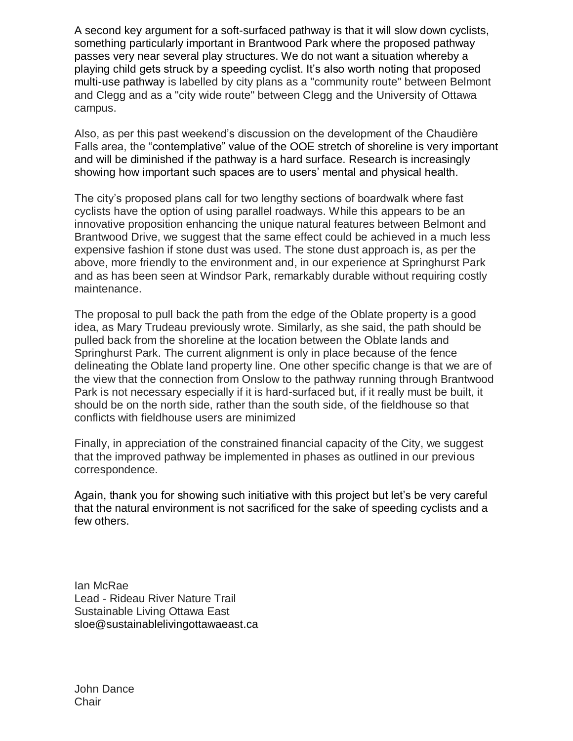A second key argument for a soft-surfaced pathway is that it will slow down cyclists, something particularly important in Brantwood Park where the proposed pathway passes very near several play structures. We do not want a situation whereby a playing child gets struck by a speeding cyclist. It's also worth noting that proposed multi-use pathway is labelled by city plans as a "community route" between Belmont and Clegg and as a "city wide route" between Clegg and the University of Ottawa campus.

Also, as per this past weekend's discussion on the development of the Chaudière Falls area, the "contemplative" value of the OOE stretch of shoreline is very important and will be diminished if the pathway is a hard surface. Research is increasingly showing how important such spaces are to users' mental and physical health.

The city's proposed plans call for two lengthy sections of boardwalk where fast cyclists have the option of using parallel roadways. While this appears to be an innovative proposition enhancing the unique natural features between Belmont and Brantwood Drive, we suggest that the same effect could be achieved in a much less expensive fashion if stone dust was used. The stone dust approach is, as per the above, more friendly to the environment and, in our experience at Springhurst Park and as has been seen at Windsor Park, remarkably durable without requiring costly maintenance.

The proposal to pull back the path from the edge of the Oblate property is a good idea, as Mary Trudeau previously wrote. Similarly, as she said, the path should be pulled back from the shoreline at the location between the Oblate lands and Springhurst Park. The current alignment is only in place because of the fence delineating the Oblate land property line. One other specific change is that we are of the view that the connection from Onslow to the pathway running through Brantwood Park is not necessary especially if it is hard-surfaced but, if it really must be built, it should be on the north side, rather than the south side, of the fieldhouse so that conflicts with fieldhouse users are minimized

Finally, in appreciation of the constrained financial capacity of the City, we suggest that the improved pathway be implemented in phases as outlined in our previous correspondence.

Again, thank you for showing such initiative with this project but let's be very careful that the natural environment is not sacrificed for the sake of speeding cyclists and a few others.

Ian McRae Lead - Rideau River Nature Trail Sustainable Living Ottawa East sloe@sustainablelivingottawaeast.ca